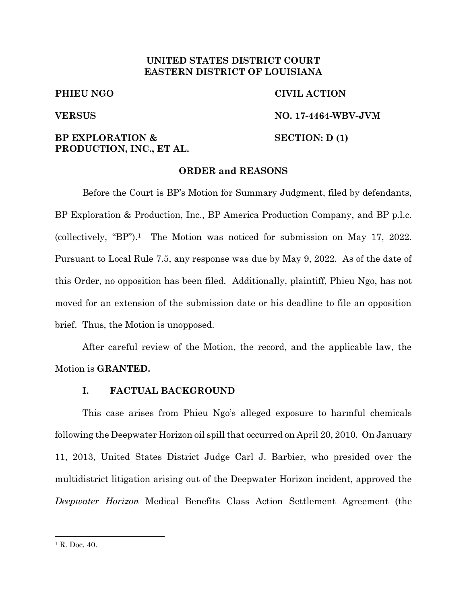# **UNITED STATES DISTRICT COURT EASTERN DISTRICT OF LOUISIANA**

### **PHIEU NGO CIVIL ACTION**

**VERSUS NO. 17-4464-WBV-JVM**

# **BP EXPLORATION & SECTION: D (1) PRODUCTION, INC., ET AL.**

#### **ORDER and REASONS**

Before the Court is BP's Motion for Summary Judgment, filed by defendants, BP Exploration & Production, Inc., BP America Production Company, and BP p.l.c. (collectively, "BP"). <sup>1</sup> The Motion was noticed for submission on May 17, 2022. Pursuant to Local Rule 7.5, any response was due by May 9, 2022. As of the date of this Order, no opposition has been filed. Additionally, plaintiff, Phieu Ngo, has not moved for an extension of the submission date or his deadline to file an opposition brief. Thus, the Motion is unopposed.

After careful review of the Motion, the record, and the applicable law, the Motion is **GRANTED.**

### **I. FACTUAL BACKGROUND**

This case arises from Phieu Ngo's alleged exposure to harmful chemicals following the Deepwater Horizon oil spill that occurred on April 20, 2010. On January 11, 2013, United States District Judge Carl J. Barbier, who presided over the multidistrict litigation arising out of the Deepwater Horizon incident, approved the *Deepwater Horizon* Medical Benefits Class Action Settlement Agreement (the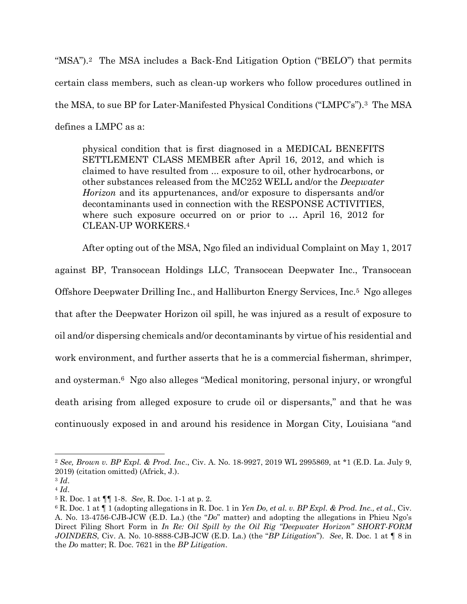"MSA").<sup>2</sup> The MSA includes a Back-End Litigation Option ("BELO") that permits certain class members, such as clean-up workers who follow procedures outlined in the MSA, to sue BP for Later-Manifested Physical Conditions ("LMPC's").<sup>3</sup> The MSA defines a LMPC as a:

physical condition that is first diagnosed in a MEDICAL BENEFITS SETTLEMENT CLASS MEMBER after April 16, 2012, and which is claimed to have resulted from ... exposure to oil, other hydrocarbons, or other substances released from the MC252 WELL and/or the *Deepwater Horizon* and its appurtenances, and/or exposure to dispersants and/or decontaminants used in connection with the RESPONSE ACTIVITIES, where such exposure occurred on or prior to … April 16, 2012 for CLEAN-UP WORKERS.<sup>4</sup>

After opting out of the MSA, Ngo filed an individual Complaint on May 1, 2017 against BP, Transocean Holdings LLC, Transocean Deepwater Inc., Transocean Offshore Deepwater Drilling Inc., and Halliburton Energy Services, Inc.5 Ngo alleges that after the Deepwater Horizon oil spill, he was injured as a result of exposure to oil and/or dispersing chemicals and/or decontaminants by virtue of his residential and work environment, and further asserts that he is a commercial fisherman, shrimper, and oysterman. <sup>6</sup> Ngo also alleges "Medical monitoring, personal injury, or wrongful death arising from alleged exposure to crude oil or dispersants," and that he was continuously exposed in and around his residence in Morgan City, Louisiana "and

<sup>2</sup> *See, Brown v. BP Expl. & Prod. Inc*., Civ. A. No. 18-9927, 2019 WL 2995869, at \*1 (E.D. La. July 9, 2019) (citation omitted) (Africk, J.).

<sup>3</sup> *Id*. <sup>4</sup> *Id*.

<sup>5</sup> R. Doc. 1 at ¶¶ 1-8. *See*, R. Doc. 1-1 at p. 2.

<sup>6</sup> R. Doc. 1 at ¶ 1 (adopting allegations in R. Doc. 1 in *Yen Do, et al. v. BP Expl. & Prod. Inc., et al.*, Civ. A. No. 13-4756-CJB-JCW (E.D. La.) (the "*Do*" matter) and adopting the allegations in Phieu Ngo's Direct Filing Short Form in *In Re: Oil Spill by the Oil Rig "Deepwater Horizon" SHORT-FORM JOINDERS*, Civ. A. No. 10-8888-CJB-JCW (E.D. La.) (the "*BP Litigation*"). *See*, R. Doc. 1 at ¶ 8 in the *Do* matter; R. Doc. 7621 in the *BP Litigation*.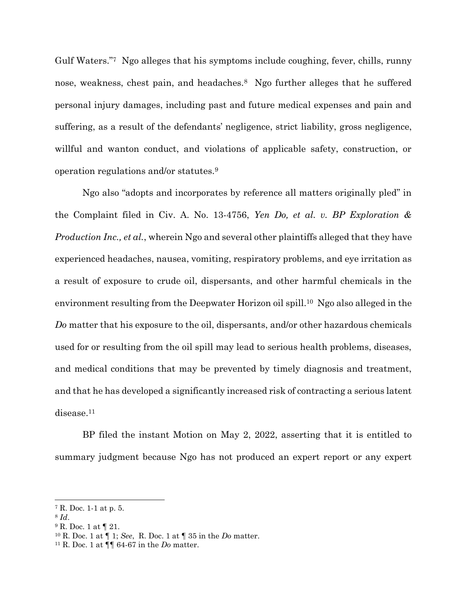Gulf Waters."7 Ngo alleges that his symptoms include coughing, fever, chills, runny nose, weakness, chest pain, and headaches.8 Ngo further alleges that he suffered personal injury damages, including past and future medical expenses and pain and suffering, as a result of the defendants' negligence, strict liability, gross negligence, willful and wanton conduct, and violations of applicable safety, construction, or operation regulations and/or statutes.<sup>9</sup>

Ngo also "adopts and incorporates by reference all matters originally pled" in the Complaint filed in Civ. A. No. 13-4756, *Yen Do, et al. v. BP Exploration & Production Inc., et al.*, wherein Ngo and several other plaintiffs alleged that they have experienced headaches, nausea, vomiting, respiratory problems, and eye irritation as a result of exposure to crude oil, dispersants, and other harmful chemicals in the environment resulting from the Deepwater Horizon oil spill.<sup>10</sup> Ngo also alleged in the *Do* matter that his exposure to the oil, dispersants, and/or other hazardous chemicals used for or resulting from the oil spill may lead to serious health problems, diseases, and medical conditions that may be prevented by timely diagnosis and treatment, and that he has developed a significantly increased risk of contracting a serious latent disease.<sup>11</sup>

BP filed the instant Motion on May 2, 2022, asserting that it is entitled to summary judgment because Ngo has not produced an expert report or any expert

<sup>7</sup> R. Doc. 1-1 at p. 5.

<sup>8</sup> *Id*.

<sup>9</sup> R. Doc. 1 at ¶ 21.

<sup>10</sup> R. Doc. 1 at ¶ 1; *See*, R. Doc. 1 at ¶ 35 in the *Do* matter.

<sup>11</sup> R. Doc. 1 at ¶¶ 64-67 in the *Do* matter.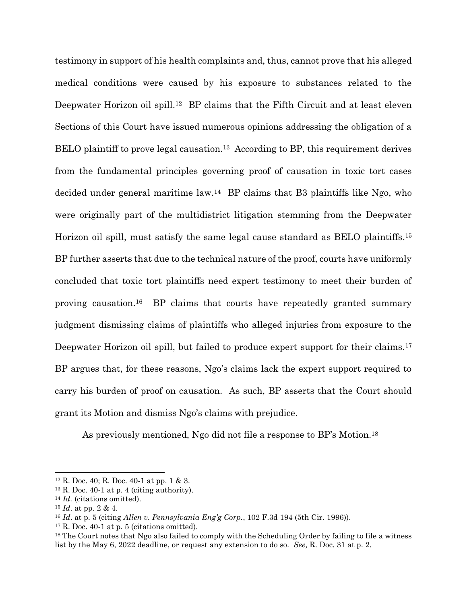testimony in support of his health complaints and, thus, cannot prove that his alleged medical conditions were caused by his exposure to substances related to the Deepwater Horizon oil spill.<sup>12</sup> BP claims that the Fifth Circuit and at least eleven Sections of this Court have issued numerous opinions addressing the obligation of a BELO plaintiff to prove legal causation.<sup>13</sup> According to BP, this requirement derives from the fundamental principles governing proof of causation in toxic tort cases decided under general maritime law.14 BP claims that B3 plaintiffs like Ngo, who were originally part of the multidistrict litigation stemming from the Deepwater Horizon oil spill, must satisfy the same legal cause standard as BELO plaintiffs. <sup>15</sup> BP further asserts that due to the technical nature of the proof, courts have uniformly concluded that toxic tort plaintiffs need expert testimony to meet their burden of proving causation.16 BP claims that courts have repeatedly granted summary judgment dismissing claims of plaintiffs who alleged injuries from exposure to the Deepwater Horizon oil spill, but failed to produce expert support for their claims.<sup>17</sup> BP argues that, for these reasons, Ngo's claims lack the expert support required to carry his burden of proof on causation. As such, BP asserts that the Court should grant its Motion and dismiss Ngo's claims with prejudice.

As previously mentioned, Ngo did not file a response to BP's Motion.<sup>18</sup>

 $12$  R. Doc. 40; R. Doc. 40-1 at pp. 1 & 3.

 $13$  R. Doc. 40-1 at p. 4 (citing authority).

<sup>14</sup> *Id.* (citations omitted).

<sup>15</sup> *Id*. at pp. 2 & 4.

<sup>16</sup> *Id*. at p. 5 (citing *Allen v. Pennsylvania Eng'g Corp.*, 102 F.3d 194 (5th Cir. 1996)).

 $17$  R. Doc. 40-1 at p. 5 (citations omitted).

<sup>18</sup> The Court notes that Ngo also failed to comply with the Scheduling Order by failing to file a witness list by the May 6, 2022 deadline, or request any extension to do so. *See,* R. Doc. 31 at p. 2.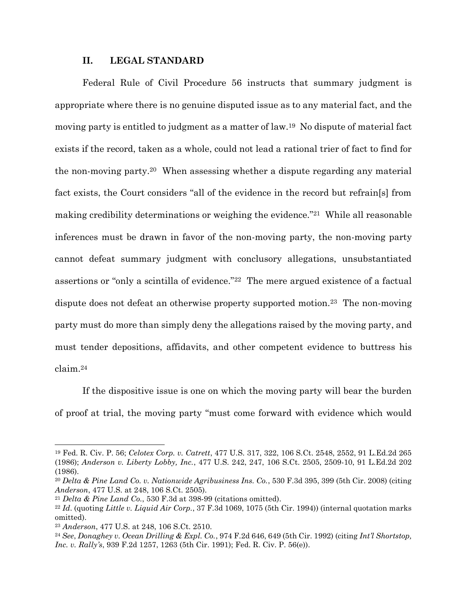### **II. LEGAL STANDARD**

Federal Rule of Civil Procedure 56 instructs that summary judgment is appropriate where there is no genuine disputed issue as to any material fact, and the moving party is entitled to judgment as a matter of law.19 No dispute of material fact exists if the record, taken as a whole, could not lead a rational trier of fact to find for the non-moving party. <sup>20</sup> When assessing whether a dispute regarding any material fact exists, the Court considers "all of the evidence in the record but refrain[s] from making credibility determinations or weighing the evidence."21 While all reasonable inferences must be drawn in favor of the non-moving party, the non-moving party cannot defeat summary judgment with conclusory allegations, unsubstantiated assertions or "only a scintilla of evidence."22 The mere argued existence of a factual dispute does not defeat an otherwise property supported motion.<sup>23</sup> The non-moving party must do more than simply deny the allegations raised by the moving party, and must tender depositions, affidavits, and other competent evidence to buttress his claim. <sup>24</sup>

If the dispositive issue is one on which the moving party will bear the burden of proof at trial, the moving party "must come forward with evidence which would

<sup>19</sup> Fed. R. Civ. P. 56; *Celotex Corp. v. Catrett*, 477 U.S. 317, 322, 106 S.Ct. 2548, 2552, 91 L.Ed.2d 265 (1986); *Anderson v. Liberty Lobby, Inc.*, 477 U.S. 242, 247, 106 S.Ct. 2505, 2509-10, 91 L.Ed.2d 202 (1986).

<sup>20</sup> *Delta & Pine Land Co. v. Nationwide Agribusiness Ins. Co.*, 530 F.3d 395, 399 (5th Cir. 2008) (citing *Anderson*, 477 U.S. at 248, 106 S.Ct. 2505).

<sup>21</sup> *Delta & Pine Land Co.*, 530 F.3d at 398-99 (citations omitted).

<sup>22</sup> *Id*. (quoting *Little v. Liquid Air Corp.*, 37 F.3d 1069, 1075 (5th Cir. 1994)) (internal quotation marks omitted).

<sup>23</sup> *Anderson*, 477 U.S. at 248, 106 S.Ct. 2510.

<sup>24</sup> *See*, *Donaghey v. Ocean Drilling & Expl. Co.*, 974 F.2d 646, 649 (5th Cir. 1992) (citing *Int'l Shortstop, Inc. v. Rally's*, 939 F.2d 1257, 1263 (5th Cir. 1991); Fed. R. Civ. P. 56(e)).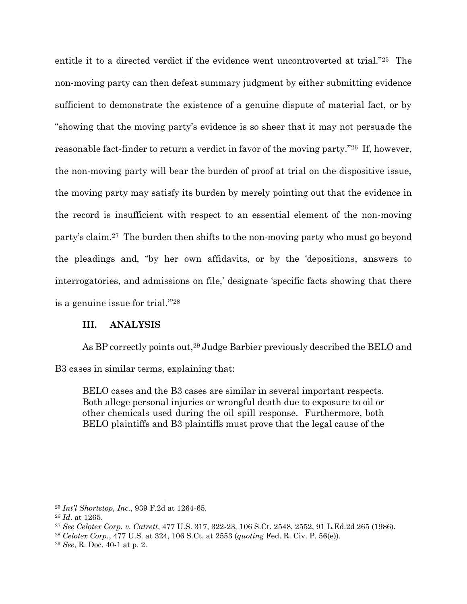entitle it to a directed verdict if the evidence went uncontroverted at trial."25 The non-moving party can then defeat summary judgment by either submitting evidence sufficient to demonstrate the existence of a genuine dispute of material fact, or by "showing that the moving party's evidence is so sheer that it may not persuade the reasonable fact-finder to return a verdict in favor of the moving party."26 If, however, the non-moving party will bear the burden of proof at trial on the dispositive issue, the moving party may satisfy its burden by merely pointing out that the evidence in the record is insufficient with respect to an essential element of the non-moving party's claim.27 The burden then shifts to the non-moving party who must go beyond the pleadings and, "by her own affidavits, or by the 'depositions, answers to interrogatories, and admissions on file,' designate 'specific facts showing that there is a genuine issue for trial.'"<sup>28</sup>

## **III. ANALYSIS**

As BP correctly points out,<sup>29</sup> Judge Barbier previously described the BELO and B3 cases in similar terms, explaining that:

BELO cases and the B3 cases are similar in several important respects. Both allege personal injuries or wrongful death due to exposure to oil or other chemicals used during the oil spill response. Furthermore, both BELO plaintiffs and B3 plaintiffs must prove that the legal cause of the

<sup>25</sup> *Int'l Shortstop, Inc.*, 939 F.2d at 1264-65.

<sup>26</sup> *Id*. at 1265.

<sup>27</sup> *See Celotex Corp. v. Catrett*, 477 U.S. 317, 322-23, 106 S.Ct. 2548, 2552, 91 L.Ed.2d 265 (1986).

<sup>28</sup> *Celotex Corp.*, 477 U.S. at 324, 106 S.Ct. at 2553 (*quoting* Fed. R. Civ. P. 56(e)).

<sup>29</sup> *See*, R. Doc. 40-1 at p. 2.